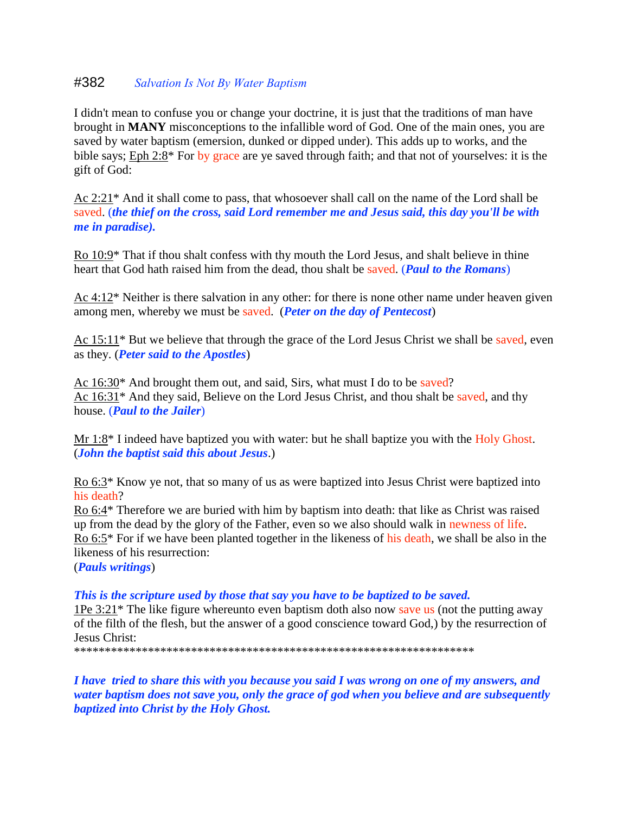## #382 *Salvation Is Not By Water Baptism*

I didn't mean to confuse you or change your doctrine, it is just that the traditions of man have brought in **MANY** misconceptions to the infallible word of God. One of the main ones, you are saved by water baptism (emersion, dunked or dipped under). This adds up to works, and the bible says; Eph 2:8\* For by grace are ye saved through faith; and that not of yourselves: it is the gift of God:

Ac 2:21\* And it shall come to pass, that whosoever shall call on the name of the Lord shall be saved. (*the thief on the cross, said Lord remember me and Jesus said, this day you'll be with me in paradise).*

Ro 10:9\* That if thou shalt confess with thy mouth the Lord Jesus, and shalt believe in thine heart that God hath raised him from the dead, thou shalt be saved. (*Paul to the Romans*)

Ac 4:12\* Neither is there salvation in any other: for there is none other name under heaven given among men, whereby we must be saved. (*Peter on the day of Pentecost*)

Ac 15:11\* But we believe that through the grace of the Lord Jesus Christ we shall be saved, even as they. (*Peter said to the Apostles*)

Ac 16:30\* And brought them out, and said, Sirs, what must I do to be saved? Ac 16:31\* And they said, Believe on the Lord Jesus Christ, and thou shalt be saved, and thy house. (*Paul to the Jailer*)

Mr 1:8<sup>\*</sup> I indeed have baptized you with water: but he shall baptize you with the Holy Ghost. (*John the baptist said this about Jesus*.)

Ro 6:3\* Know ye not, that so many of us as were baptized into Jesus Christ were baptized into his death?

Ro 6:4\* Therefore we are buried with him by baptism into death: that like as Christ was raised up from the dead by the glory of the Father, even so we also should walk in newness of life. Ro 6:5\* For if we have been planted together in the likeness of his death, we shall be also in the likeness of his resurrection:

(*Pauls writings*)

*This is the scripture used by those that say you have to be baptized to be saved.*

1Pe 3:21\* The like figure whereunto even baptism doth also now save us (not the putting away of the filth of the flesh, but the answer of a good conscience toward God,) by the resurrection of Jesus Christ:

\*\*\*\*\*\*\*\*\*\*\*\*\*\*\*\*\*\*\*\*\*\*\*\*\*\*\*\*\*\*\*\*\*\*\*\*\*\*\*\*\*\*\*\*\*\*\*\*\*\*\*\*\*\*\*\*\*\*\*\*\*\*\*\*\*

*I have tried to share this with you because you said I was wrong on one of my answers, and water baptism does not save you, only the grace of god when you believe and are subsequently baptized into Christ by the Holy Ghost.*